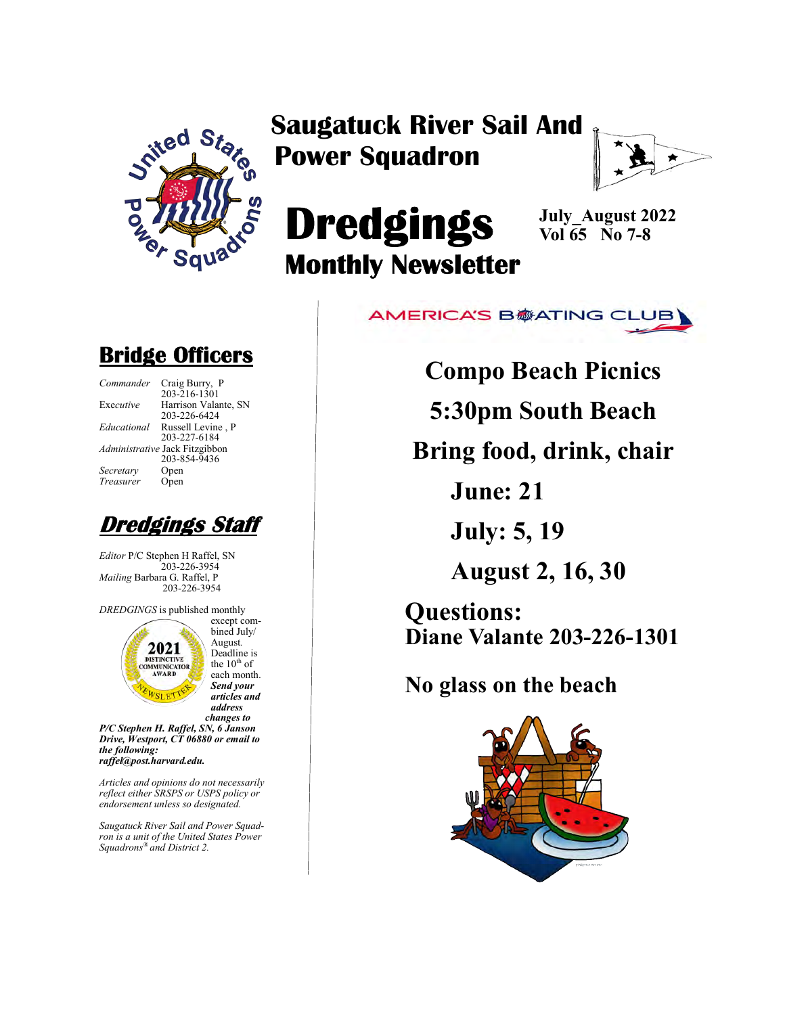

Saugatuck River Sail And Power Squadron



# **Dredgings** Monthly Newsletter

July\_August 2022 Vol  $\overline{65}$  No 7-8



Bridge Officers

| Commander   | Craig Burry, P                 |
|-------------|--------------------------------|
|             | 203-216-1301                   |
| Executive   | Harrison Valan                 |
|             | 203-226-6424                   |
| Educational | Russell Levine                 |
|             | 203-227-6184                   |
|             | Administrative Jack Fitzgibbor |
|             | 203-854-9436                   |
| Secretary   | Open                           |
| Treasurer   | Open                           |
|             |                                |

Harrison Valante, SN 203-226-6424 Russell Levine, P 203-227-6184 Jack Fitzgibbon 203-854-9436 Open Open



Editor P/C Stephen H Raffel, SN 203-226-3954 Mailing Barbara G. Raffel, P 203-226-3954

DREDGINGS is published monthly



bined July/ August. Deadline is the  $10^{th}$  of each month. Send your articles and address changes to

except com-

P/C Stephen H. Raffel, SN, 6 Janson Drive, Westport, CT 06880 or email to the following: raffel@post.harvard.edu.

Articles and opinions do not necessarily reflect either SRSPS or USPS policy or endorsement unless so designated.

Saugatuck River Sail and Power Squadron is a unit of the United States Power Squadrons® and District 2.

Compo Beach Picnics

5:30pm South Beach

Bring food, drink, chair

June: 21

July: 5, 19

August 2, 16, 30

Questions: Diane Valante 203-226-1301

No glass on the beach

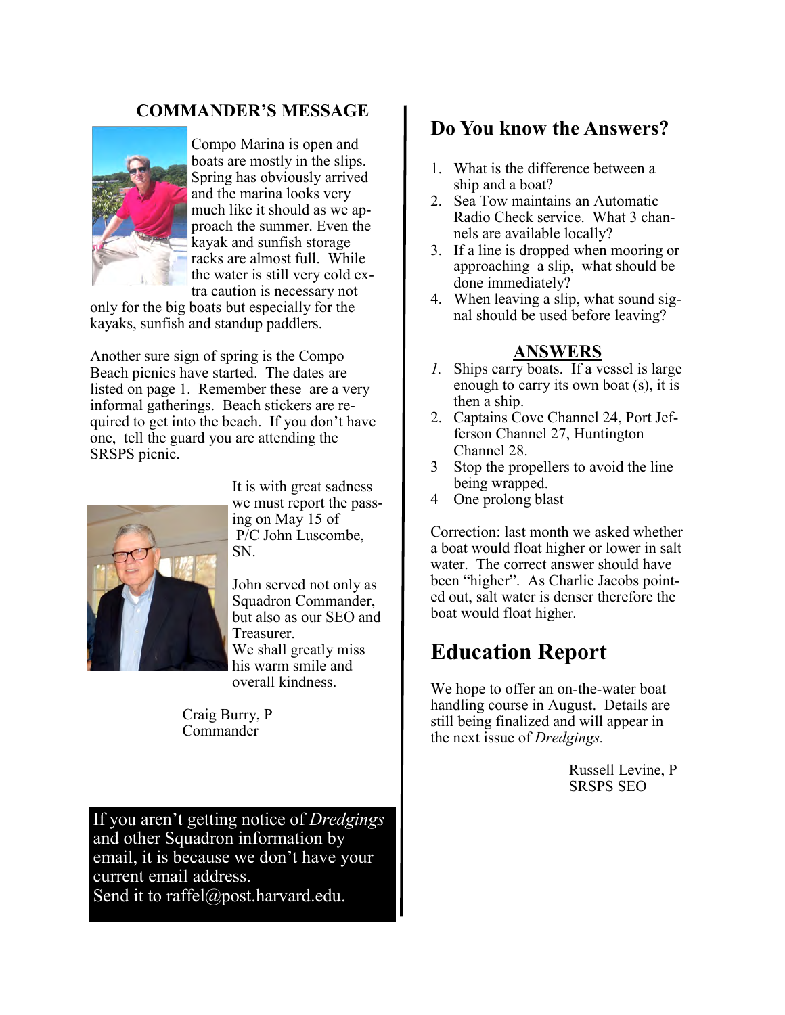#### COMMANDER'S MESSAGE



Compo Marina is open and boats are mostly in the slips. Spring has obviously arrived and the marina looks very much like it should as we approach the summer. Even the kayak and sunfish storage racks are almost full. While the water is still very cold extra caution is necessary not

only for the big boats but especially for the kayaks, sunfish and standup paddlers.

Another sure sign of spring is the Compo Beach picnics have started. The dates are listed on page 1. Remember these are a very informal gatherings. Beach stickers are required to get into the beach. If you don't have one, tell the guard you are attending the SRSPS picnic.



It is with great sadness we must report the passing on May 15 of P/C John Luscombe, SN.

John served not only as Squadron Commander, but also as our SEO and Treasurer. We shall greatly miss his warm smile and overall kindness.

Craig Burry, P Commander

If you aren't getting notice of Dredgings and other Squadron information by email, it is because we don't have your current email address. Send it to raffel@post.harvard.edu.

### Do You know the Answers?

- 1. What is the difference between a ship and a boat?
- 2. Sea Tow maintains an Automatic Radio Check service. What 3 channels are available locally?
- 3. If a line is dropped when mooring or approaching a slip, what should be done immediately?
- 4. When leaving a slip, what sound signal should be used before leaving?

#### ANSWERS

- 1. Ships carry boats. If a vessel is large enough to carry its own boat (s), it is then a ship.
- 2. Captains Cove Channel 24, Port Jefferson Channel 27, Huntington Channel 28.
- 3 Stop the propellers to avoid the line being wrapped.
- 4 One prolong blast

Correction: last month we asked whether a boat would float higher or lower in salt water. The correct answer should have been "higher". As Charlie Jacobs pointed out, salt water is denser therefore the boat would float higher.

## Education Report

We hope to offer an on-the-water boat handling course in August. Details are still being finalized and will appear in the next issue of Dredgings.

> Russell Levine, P SRSPS SEO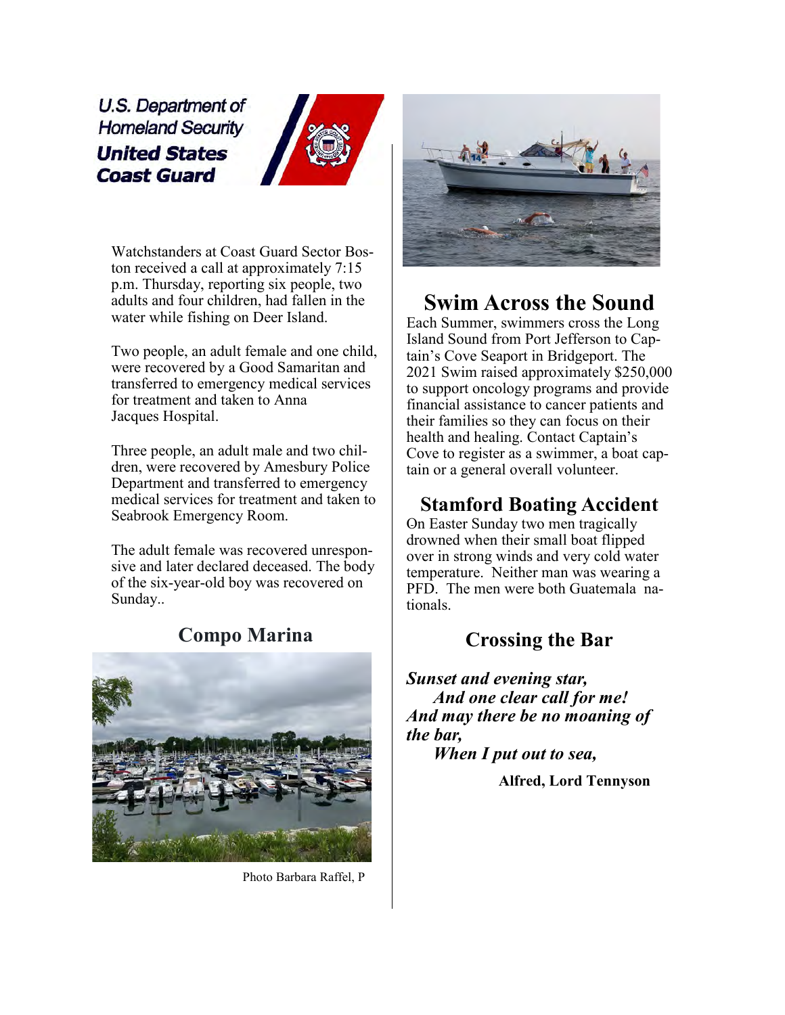U.S. Department of **Homeland Security United States Coast Guard** 



Watchstanders at Coast Guard Sector Boston received a call at approximately 7:15 p.m. Thursday, reporting six people, two adults and four children, had fallen in the water while fishing on Deer Island.

Two people, an adult female and one child, were recovered by a Good Samaritan and transferred to emergency medical services for treatment and taken to Anna Jacques Hospital.

Three people, an adult male and two children, were recovered by Amesbury Police Department and transferred to emergency medical services for treatment and taken to Seabrook Emergency Room.

The adult female was recovered unresponsive and later declared deceased. The body of the six-year-old boy was recovered on Sunday..



#### Compo Marina

Photo Barbara Raffel, P



## Swim Across the Sound

Each Summer, swimmers cross the Long Island Sound from Port Jefferson to Captain's Cove Seaport in Bridgeport. The 2021 Swim raised approximately \$250,000 to support oncology programs and provide financial assistance to cancer patients and their families so they can focus on their health and healing. Contact Captain's Cove to register as a swimmer, a boat captain or a general overall volunteer.

### Stamford Boating Accident

On Easter Sunday two men tragically drowned when their small boat flipped over in strong winds and very cold water temperature. Neither man was wearing a PFD. The men were both Guatemala nationals.

## Crossing the Bar

Sunset and evening star, And one clear call for me! And may there be no moaning of the bar, When I put out to sea,

Alfred, Lord Tennyson